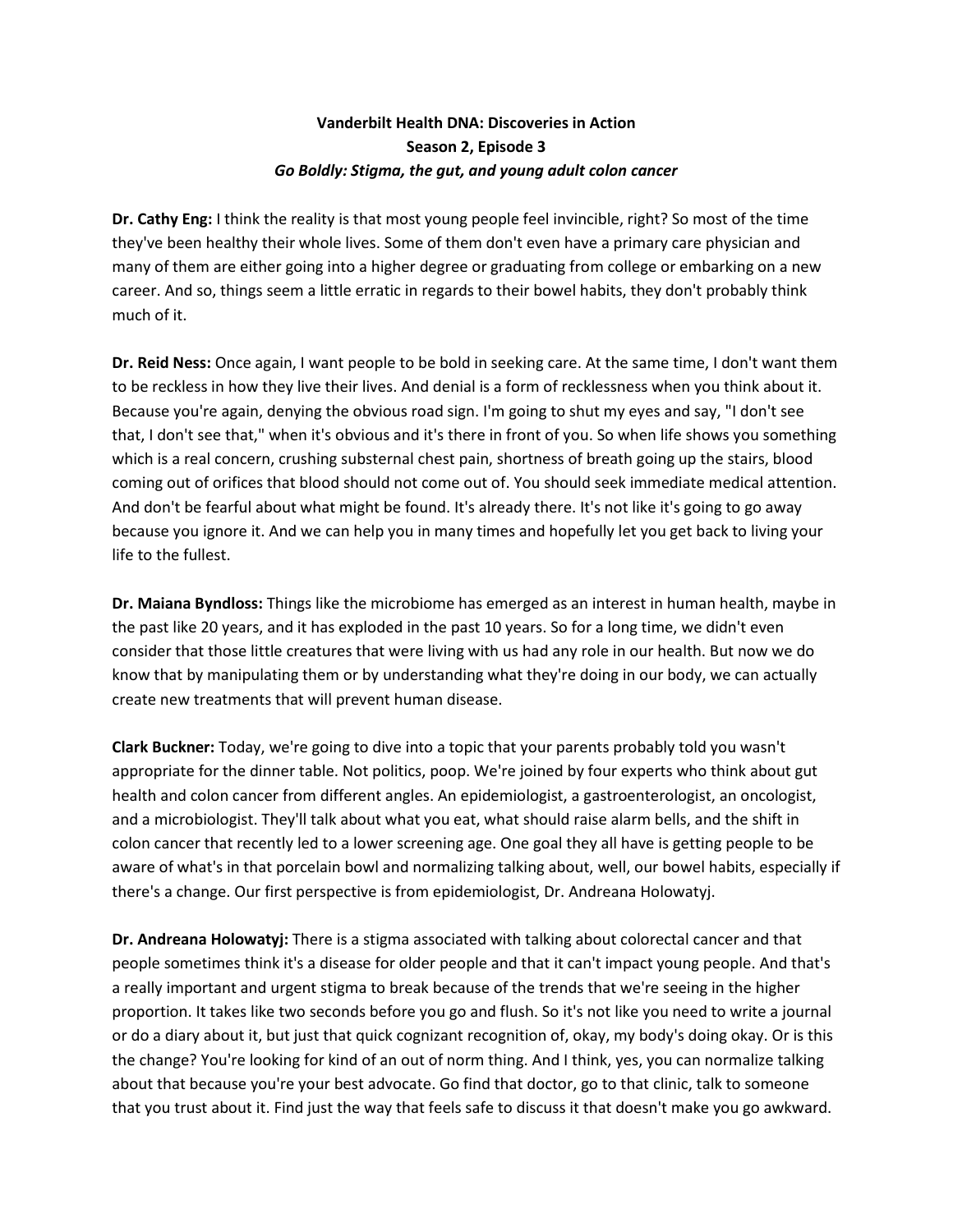## **Vanderbilt Health DNA: Discoveries in Action Season 2, Episode 3** *Go Boldly: Stigma, the gut, and young adult colon cancer*

**Dr. Cathy Eng:** I think the reality is that most young people feel invincible, right? So most of the time they've been healthy their whole lives. Some of them don't even have a primary care physician and many of them are either going into a higher degree or graduating from college or embarking on a new career. And so, things seem a little erratic in regards to their bowel habits, they don't probably think much of it.

**Dr. Reid Ness:** Once again, I want people to be bold in seeking care. At the same time, I don't want them to be reckless in how they live their lives. And denial is a form of recklessness when you think about it. Because you're again, denying the obvious road sign. I'm going to shut my eyes and say, "I don't see that, I don't see that," when it's obvious and it's there in front of you. So when life shows you something which is a real concern, crushing substernal chest pain, shortness of breath going up the stairs, blood coming out of orifices that blood should not come out of. You should seek immediate medical attention. And don't be fearful about what might be found. It's already there. It's not like it's going to go away because you ignore it. And we can help you in many times and hopefully let you get back to living your life to the fullest.

**Dr. Maiana Byndloss:** Things like the microbiome has emerged as an interest in human health, maybe in the past like 20 years, and it has exploded in the past 10 years. So for a long time, we didn't even consider that those little creatures that were living with us had any role in our health. But now we do know that by manipulating them or by understanding what they're doing in our body, we can actually create new treatments that will prevent human disease.

**Clark Buckner:** Today, we're going to dive into a topic that your parents probably told you wasn't appropriate for the dinner table. Not politics, poop. We're joined by four experts who think about gut health and colon cancer from different angles. An epidemiologist, a gastroenterologist, an oncologist, and a microbiologist. They'll talk about what you eat, what should raise alarm bells, and the shift in colon cancer that recently led to a lower screening age. One goal they all have is getting people to be aware of what's in that porcelain bowl and normalizing talking about, well, our bowel habits, especially if there's a change. Our first perspective is from epidemiologist, Dr. Andreana Holowatyj.

**Dr. Andreana Holowatyj:** There is a stigma associated with talking about colorectal cancer and that people sometimes think it's a disease for older people and that it can't impact young people. And that's a really important and urgent stigma to break because of the trends that we're seeing in the higher proportion. It takes like two seconds before you go and flush. So it's not like you need to write a journal or do a diary about it, but just that quick cognizant recognition of, okay, my body's doing okay. Or is this the change? You're looking for kind of an out of norm thing. And I think, yes, you can normalize talking about that because you're your best advocate. Go find that doctor, go to that clinic, talk to someone that you trust about it. Find just the way that feels safe to discuss it that doesn't make you go awkward.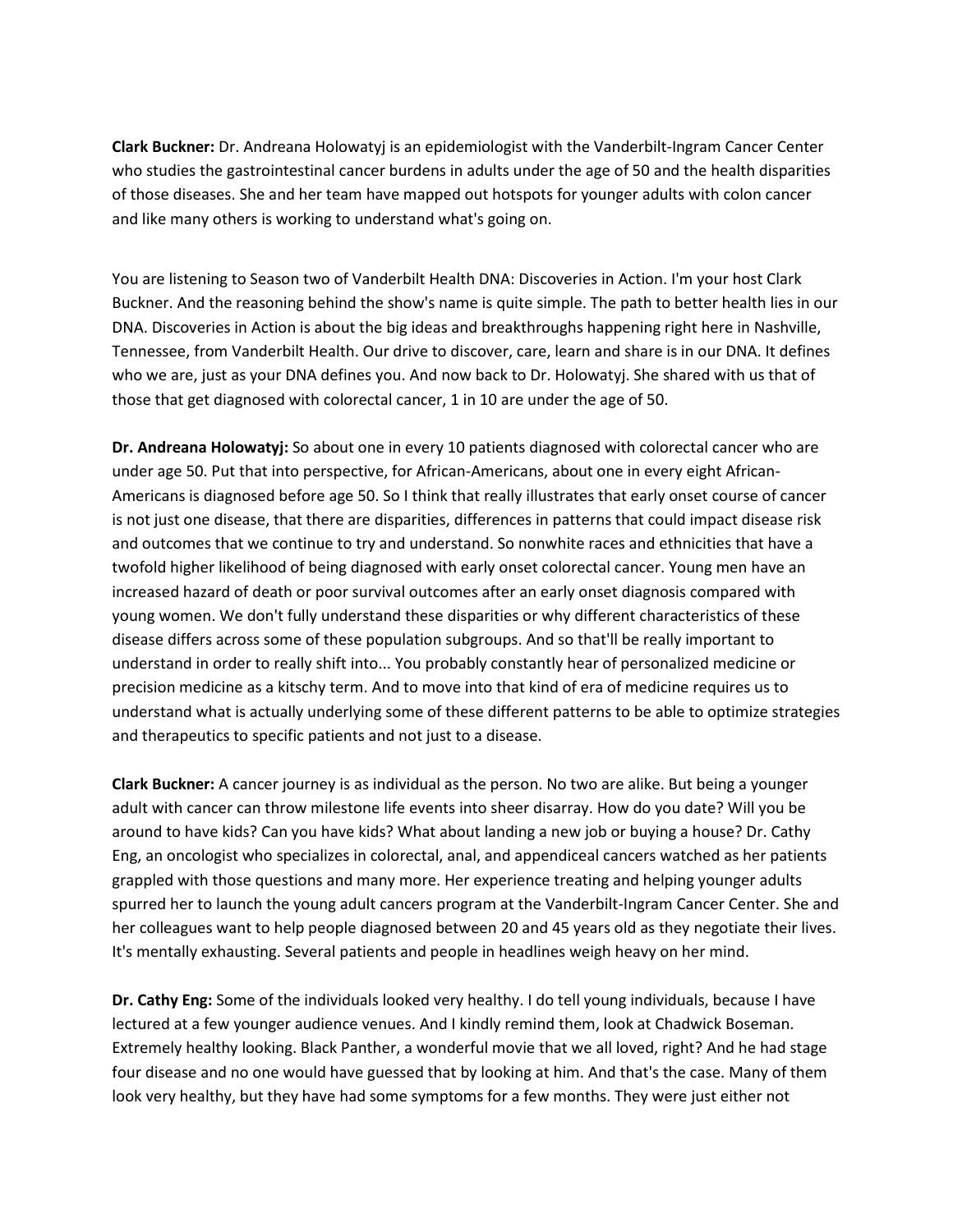**Clark Buckner:** Dr. Andreana Holowatyj is an epidemiologist with the Vanderbilt-Ingram Cancer Center who studies the gastrointestinal cancer burdens in adults under the age of 50 and the health disparities of those diseases. She and her team have mapped out hotspots for younger adults with colon cancer and like many others is working to understand what's going on.

You are listening to Season two of Vanderbilt Health DNA: Discoveries in Action. I'm your host Clark Buckner. And the reasoning behind the show's name is quite simple. The path to better health lies in our DNA. Discoveries in Action is about the big ideas and breakthroughs happening right here in Nashville, Tennessee, from Vanderbilt Health. Our drive to discover, care, learn and share is in our DNA. It defines who we are, just as your DNA defines you. And now back to Dr. Holowatyj. She shared with us that of those that get diagnosed with colorectal cancer, 1 in 10 are under the age of 50.

**Dr. Andreana Holowatyj:** So about one in every 10 patients diagnosed with colorectal cancer who are under age 50. Put that into perspective, for African-Americans, about one in every eight African-Americans is diagnosed before age 50. So I think that really illustrates that early onset course of cancer is not just one disease, that there are disparities, differences in patterns that could impact disease risk and outcomes that we continue to try and understand. So nonwhite races and ethnicities that have a twofold higher likelihood of being diagnosed with early onset colorectal cancer. Young men have an increased hazard of death or poor survival outcomes after an early onset diagnosis compared with young women. We don't fully understand these disparities or why different characteristics of these disease differs across some of these population subgroups. And so that'll be really important to understand in order to really shift into... You probably constantly hear of personalized medicine or precision medicine as a kitschy term. And to move into that kind of era of medicine requires us to understand what is actually underlying some of these different patterns to be able to optimize strategies and therapeutics to specific patients and not just to a disease.

**Clark Buckner:** A cancer journey is as individual as the person. No two are alike. But being a younger adult with cancer can throw milestone life events into sheer disarray. How do you date? Will you be around to have kids? Can you have kids? What about landing a new job or buying a house? Dr. Cathy Eng, an oncologist who specializes in colorectal, anal, and appendiceal cancers watched as her patients grappled with those questions and many more. Her experience treating and helping younger adults spurred her to launch the young adult cancers program at the Vanderbilt-Ingram Cancer Center. She and her colleagues want to help people diagnosed between 20 and 45 years old as they negotiate their lives. It's mentally exhausting. Several patients and people in headlines weigh heavy on her mind.

**Dr. Cathy Eng:** Some of the individuals looked very healthy. I do tell young individuals, because I have lectured at a few younger audience venues. And I kindly remind them, look at Chadwick Boseman. Extremely healthy looking. Black Panther, a wonderful movie that we all loved, right? And he had stage four disease and no one would have guessed that by looking at him. And that's the case. Many of them look very healthy, but they have had some symptoms for a few months. They were just either not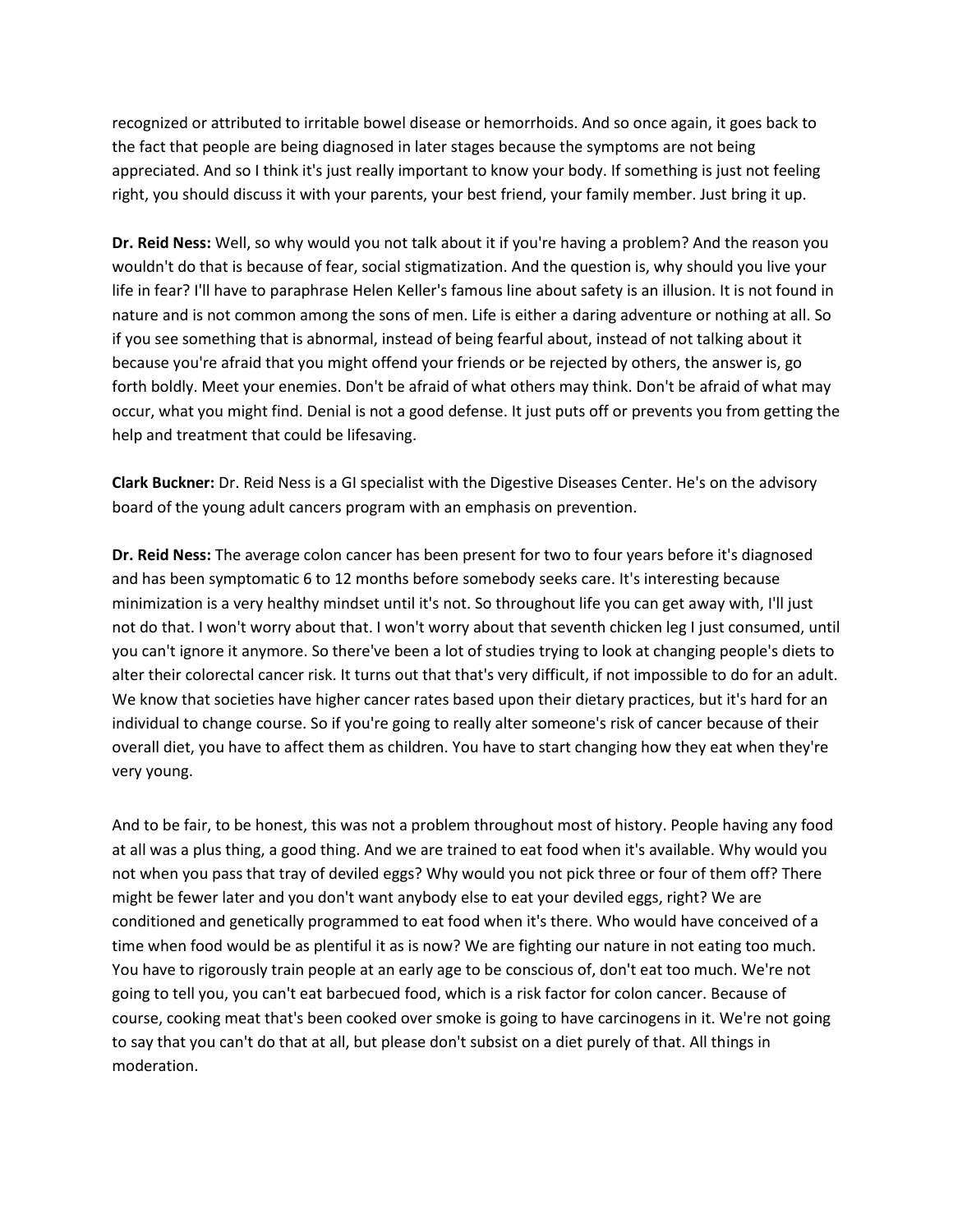recognized or attributed to irritable bowel disease or hemorrhoids. And so once again, it goes back to the fact that people are being diagnosed in later stages because the symptoms are not being appreciated. And so I think it's just really important to know your body. If something is just not feeling right, you should discuss it with your parents, your best friend, your family member. Just bring it up.

**Dr. Reid Ness:** Well, so why would you not talk about it if you're having a problem? And the reason you wouldn't do that is because of fear, social stigmatization. And the question is, why should you live your life in fear? I'll have to paraphrase Helen Keller's famous line about safety is an illusion. It is not found in nature and is not common among the sons of men. Life is either a daring adventure or nothing at all. So if you see something that is abnormal, instead of being fearful about, instead of not talking about it because you're afraid that you might offend your friends or be rejected by others, the answer is, go forth boldly. Meet your enemies. Don't be afraid of what others may think. Don't be afraid of what may occur, what you might find. Denial is not a good defense. It just puts off or prevents you from getting the help and treatment that could be lifesaving.

**Clark Buckner:** Dr. Reid Ness is a GI specialist with the Digestive Diseases Center. He's on the advisory board of the young adult cancers program with an emphasis on prevention.

**Dr. Reid Ness:** The average colon cancer has been present for two to four years before it's diagnosed and has been symptomatic 6 to 12 months before somebody seeks care. It's interesting because minimization is a very healthy mindset until it's not. So throughout life you can get away with, I'll just not do that. I won't worry about that. I won't worry about that seventh chicken leg I just consumed, until you can't ignore it anymore. So there've been a lot of studies trying to look at changing people's diets to alter their colorectal cancer risk. It turns out that that's very difficult, if not impossible to do for an adult. We know that societies have higher cancer rates based upon their dietary practices, but it's hard for an individual to change course. So if you're going to really alter someone's risk of cancer because of their overall diet, you have to affect them as children. You have to start changing how they eat when they're very young.

And to be fair, to be honest, this was not a problem throughout most of history. People having any food at all was a plus thing, a good thing. And we are trained to eat food when it's available. Why would you not when you pass that tray of deviled eggs? Why would you not pick three or four of them off? There might be fewer later and you don't want anybody else to eat your deviled eggs, right? We are conditioned and genetically programmed to eat food when it's there. Who would have conceived of a time when food would be as plentiful it as is now? We are fighting our nature in not eating too much. You have to rigorously train people at an early age to be conscious of, don't eat too much. We're not going to tell you, you can't eat barbecued food, which is a risk factor for colon cancer. Because of course, cooking meat that's been cooked over smoke is going to have carcinogens in it. We're not going to say that you can't do that at all, but please don't subsist on a diet purely of that. All things in moderation.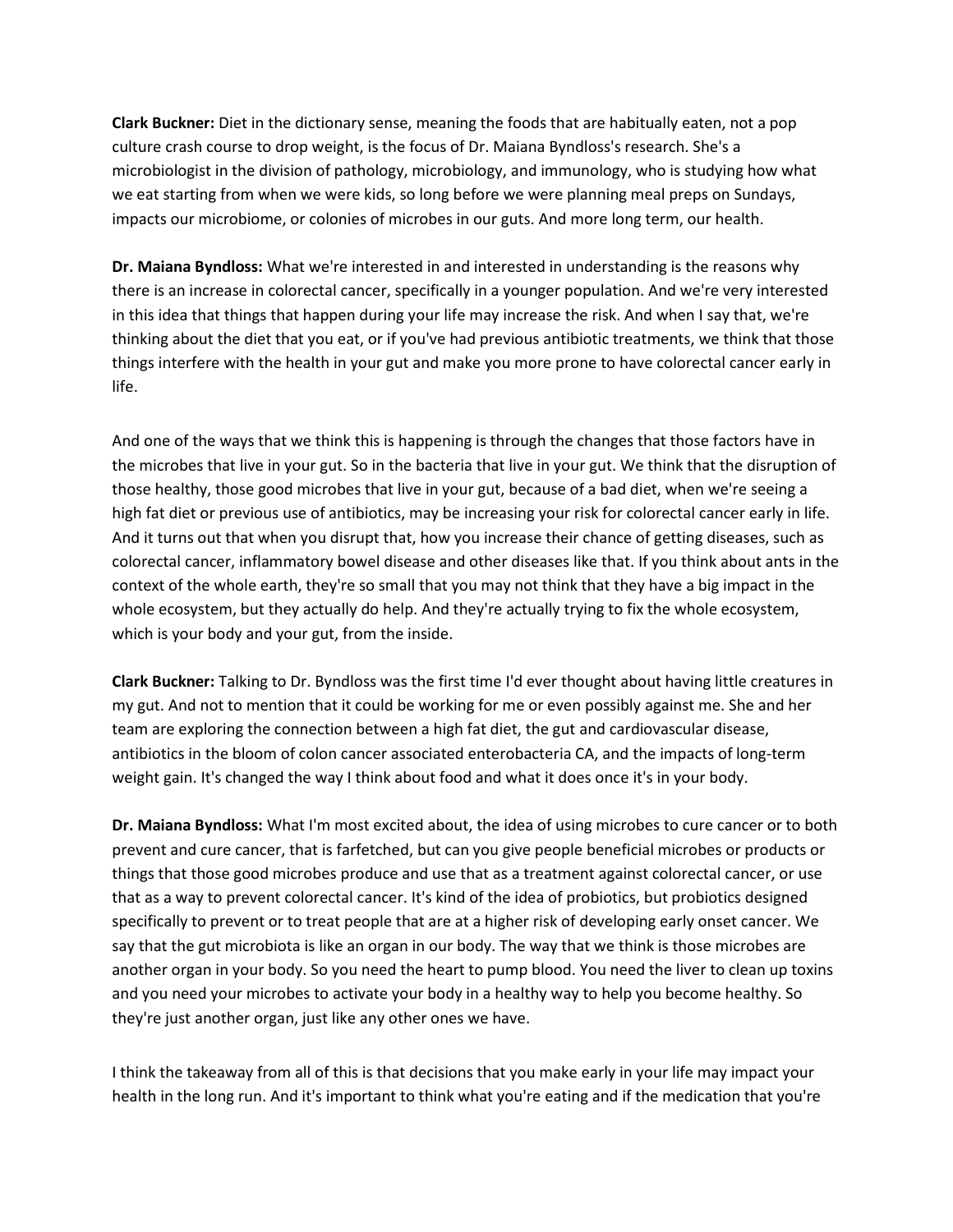**Clark Buckner:** Diet in the dictionary sense, meaning the foods that are habitually eaten, not a pop culture crash course to drop weight, is the focus of Dr. Maiana Byndloss's research. She's a microbiologist in the division of pathology, microbiology, and immunology, who is studying how what we eat starting from when we were kids, so long before we were planning meal preps on Sundays, impacts our microbiome, or colonies of microbes in our guts. And more long term, our health.

**Dr. Maiana Byndloss:** What we're interested in and interested in understanding is the reasons why there is an increase in colorectal cancer, specifically in a younger population. And we're very interested in this idea that things that happen during your life may increase the risk. And when I say that, we're thinking about the diet that you eat, or if you've had previous antibiotic treatments, we think that those things interfere with the health in your gut and make you more prone to have colorectal cancer early in life.

And one of the ways that we think this is happening is through the changes that those factors have in the microbes that live in your gut. So in the bacteria that live in your gut. We think that the disruption of those healthy, those good microbes that live in your gut, because of a bad diet, when we're seeing a high fat diet or previous use of antibiotics, may be increasing your risk for colorectal cancer early in life. And it turns out that when you disrupt that, how you increase their chance of getting diseases, such as colorectal cancer, inflammatory bowel disease and other diseases like that. If you think about ants in the context of the whole earth, they're so small that you may not think that they have a big impact in the whole ecosystem, but they actually do help. And they're actually trying to fix the whole ecosystem, which is your body and your gut, from the inside.

**Clark Buckner:** Talking to Dr. Byndloss was the first time I'd ever thought about having little creatures in my gut. And not to mention that it could be working for me or even possibly against me. She and her team are exploring the connection between a high fat diet, the gut and cardiovascular disease, antibiotics in the bloom of colon cancer associated enterobacteria CA, and the impacts of long-term weight gain. It's changed the way I think about food and what it does once it's in your body.

**Dr. Maiana Byndloss:** What I'm most excited about, the idea of using microbes to cure cancer or to both prevent and cure cancer, that is farfetched, but can you give people beneficial microbes or products or things that those good microbes produce and use that as a treatment against colorectal cancer, or use that as a way to prevent colorectal cancer. It's kind of the idea of probiotics, but probiotics designed specifically to prevent or to treat people that are at a higher risk of developing early onset cancer. We say that the gut microbiota is like an organ in our body. The way that we think is those microbes are another organ in your body. So you need the heart to pump blood. You need the liver to clean up toxins and you need your microbes to activate your body in a healthy way to help you become healthy. So they're just another organ, just like any other ones we have.

I think the takeaway from all of this is that decisions that you make early in your life may impact your health in the long run. And it's important to think what you're eating and if the medication that you're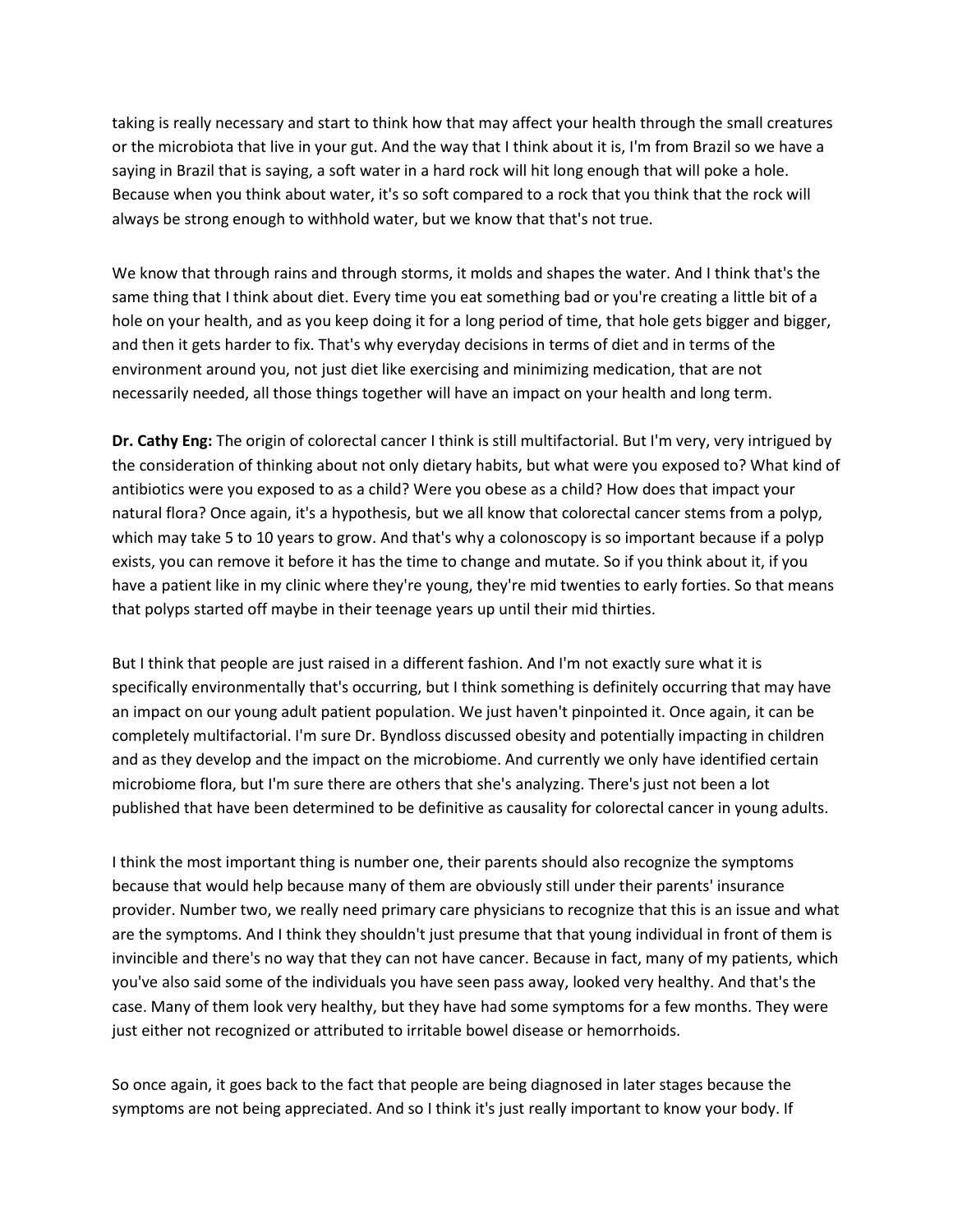taking is really necessary and start to think how that may affect your health through the small creatures or the microbiota that live in your gut. And the way that I think about it is, I'm from Brazil so we have a saying in Brazil that is saying, a soft water in a hard rock will hit long enough that will poke a hole. Because when you think about water, it's so soft compared to a rock that you think that the rock will always be strong enough to withhold water, but we know that that's not true.

We know that through rains and through storms, it molds and shapes the water. And I think that's the same thing that I think about diet. Every time you eat something bad or you're creating a little bit of a hole on your health, and as you keep doing it for a long period of time, that hole gets bigger and bigger, and then it gets harder to fix. That's why everyday decisions in terms of diet and in terms of the environment around you, not just diet like exercising and minimizing medication, that are not necessarily needed, all those things together will have an impact on your health and long term.

**Dr. Cathy Eng:** The origin of colorectal cancer I think is still multifactorial. But I'm very, very intrigued by the consideration of thinking about not only dietary habits, but what were you exposed to? What kind of antibiotics were you exposed to as a child? Were you obese as a child? How does that impact your natural flora? Once again, it's a hypothesis, but we all know that colorectal cancer stems from a polyp, which may take 5 to 10 years to grow. And that's why a colonoscopy is so important because if a polyp exists, you can remove it before it has the time to change and mutate. So if you think about it, if you have a patient like in my clinic where they're young, they're mid twenties to early forties. So that means that polyps started off maybe in their teenage years up until their mid thirties.

But I think that people are just raised in a different fashion. And I'm not exactly sure what it is specifically environmentally that's occurring, but I think something is definitely occurring that may have an impact on our young adult patient population. We just haven't pinpointed it. Once again, it can be completely multifactorial. I'm sure Dr. Byndloss discussed obesity and potentially impacting in children and as they develop and the impact on the microbiome. And currently we only have identified certain microbiome flora, but I'm sure there are others that she's analyzing. There's just not been a lot published that have been determined to be definitive as causality for colorectal cancer in young adults.

I think the most important thing is number one, their parents should also recognize the symptoms because that would help because many of them are obviously still under their parents' insurance provider. Number two, we really need primary care physicians to recognize that this is an issue and what are the symptoms. And I think they shouldn't just presume that that young individual in front of them is invincible and there's no way that they can not have cancer. Because in fact, many of my patients, which you've also said some of the individuals you have seen pass away, looked very healthy. And that's the case. Many of them look very healthy, but they have had some symptoms for a few months. They were just either not recognized or attributed to irritable bowel disease or hemorrhoids.

So once again, it goes back to the fact that people are being diagnosed in later stages because the symptoms are not being appreciated. And so I think it's just really important to know your body. If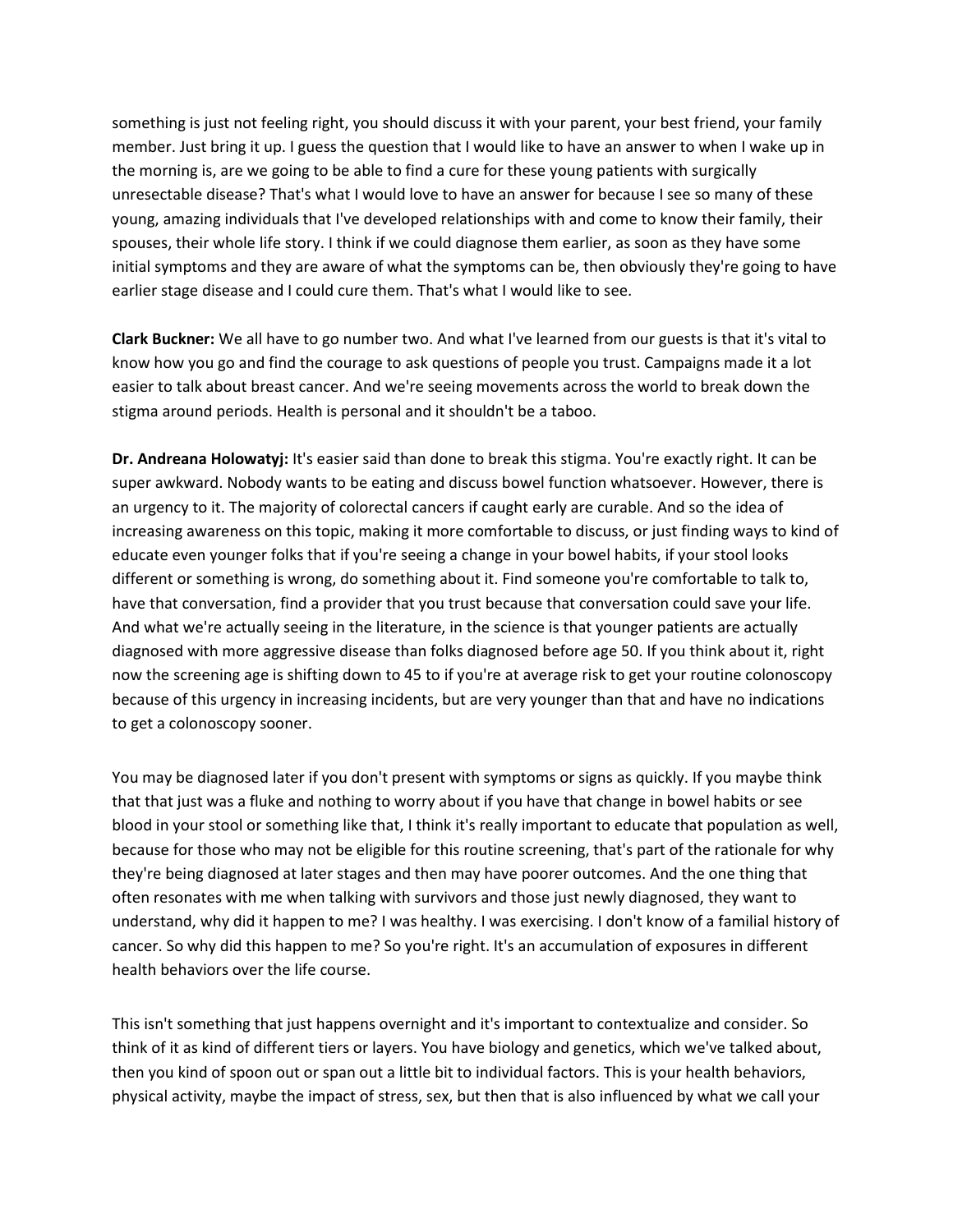something is just not feeling right, you should discuss it with your parent, your best friend, your family member. Just bring it up. I guess the question that I would like to have an answer to when I wake up in the morning is, are we going to be able to find a cure for these young patients with surgically unresectable disease? That's what I would love to have an answer for because I see so many of these young, amazing individuals that I've developed relationships with and come to know their family, their spouses, their whole life story. I think if we could diagnose them earlier, as soon as they have some initial symptoms and they are aware of what the symptoms can be, then obviously they're going to have earlier stage disease and I could cure them. That's what I would like to see.

**Clark Buckner:** We all have to go number two. And what I've learned from our guests is that it's vital to know how you go and find the courage to ask questions of people you trust. Campaigns made it a lot easier to talk about breast cancer. And we're seeing movements across the world to break down the stigma around periods. Health is personal and it shouldn't be a taboo.

**Dr. Andreana Holowatyj:** It's easier said than done to break this stigma. You're exactly right. It can be super awkward. Nobody wants to be eating and discuss bowel function whatsoever. However, there is an urgency to it. The majority of colorectal cancers if caught early are curable. And so the idea of increasing awareness on this topic, making it more comfortable to discuss, or just finding ways to kind of educate even younger folks that if you're seeing a change in your bowel habits, if your stool looks different or something is wrong, do something about it. Find someone you're comfortable to talk to, have that conversation, find a provider that you trust because that conversation could save your life. And what we're actually seeing in the literature, in the science is that younger patients are actually diagnosed with more aggressive disease than folks diagnosed before age 50. If you think about it, right now the screening age is shifting down to 45 to if you're at average risk to get your routine colonoscopy because of this urgency in increasing incidents, but are very younger than that and have no indications to get a colonoscopy sooner.

You may be diagnosed later if you don't present with symptoms or signs as quickly. If you maybe think that that just was a fluke and nothing to worry about if you have that change in bowel habits or see blood in your stool or something like that, I think it's really important to educate that population as well, because for those who may not be eligible for this routine screening, that's part of the rationale for why they're being diagnosed at later stages and then may have poorer outcomes. And the one thing that often resonates with me when talking with survivors and those just newly diagnosed, they want to understand, why did it happen to me? I was healthy. I was exercising. I don't know of a familial history of cancer. So why did this happen to me? So you're right. It's an accumulation of exposures in different health behaviors over the life course.

This isn't something that just happens overnight and it's important to contextualize and consider. So think of it as kind of different tiers or layers. You have biology and genetics, which we've talked about, then you kind of spoon out or span out a little bit to individual factors. This is your health behaviors, physical activity, maybe the impact of stress, sex, but then that is also influenced by what we call your